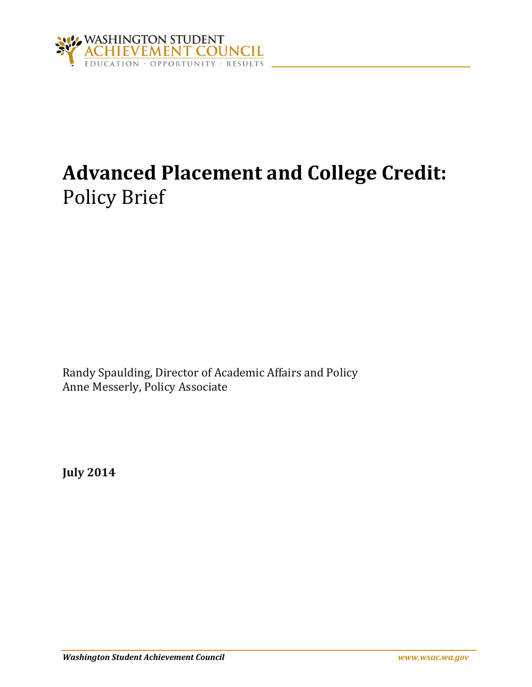

# **Advanced Placement and College Credit:** Policy Brief

Randy Spaulding, Director of Academic Affairs and Policy Anne Messerly, Policy Associate

**July 2014**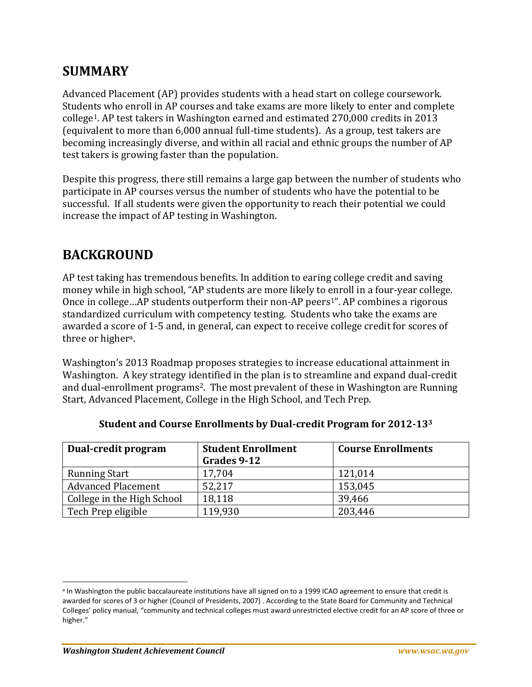#### **SUMMARY**

Advanced Placement (AP) provides students with a head start on college coursework. Students who enroll in AP courses and take exams are more likely to enter and complete college1. AP test takers in Washington earned and estimated 270,000 credits in 2013 (equivalent to more than 6,000 annual full-time students). As a group, test takers are becoming increasingly diverse, and within all racial and ethnic groups the number of AP test takers is growing faster than the population.

Despite this progress, there still remains a large gap between the number of students who participate in AP courses versus the number of students who have the potential to be successful. If all students were given the opportunity to reach their potential we could increase the impact of AP testing in Washington.

## **BACKGROUND**

AP test taking has tremendous benefits. In addition to earing college credit and saving money while in high school, "AP students are more likely to enroll in a four-year college. Once in college...AP students outperform their non-AP peers<sup>1</sup>". AP combines a rigorous standardized curriculum with competency testing. Students who take the exams are awarded a score of 1-5 and, in general, can expect to receive college credit for scores of three or higher<sup>a</sup>.

Washington's 2013 Roadmap proposes strategies to increase educational attainment in Washington. A key strategy identified in the plan is to streamline and expand dual-credit and dual-enrollment programs2. The most prevalent of these in Washington are Running Start, Advanced Placement, College in the High School, and Tech Prep.

| Dual-credit program        | <b>Student Enrollment</b> | <b>Course Enrollments</b> |  |
|----------------------------|---------------------------|---------------------------|--|
|                            | Grades 9-12               |                           |  |
| <b>Running Start</b>       | 17,704                    | 121,014                   |  |
| <b>Advanced Placement</b>  | 52,217                    | 153,045                   |  |
| College in the High School | 18,118                    | 39,466                    |  |
| Tech Prep eligible         | 119,930                   | 203,446                   |  |

#### **Student and Course Enrollments by Dual-credit Program for 2012-13<sup>3</sup>**

 $\overline{a}$ 

<sup>&</sup>lt;sup>a</sup> In Washington the public baccalaureate institutions have all signed on to a 1999 ICAO agreement to ensure that credit is awarded for scores of 3 or higher (Council of Presidents, 2007) . According to the State Board for Community and Technical Colleges' policy manual, "community and technical colleges must award unrestricted elective credit for an AP score of three or higher."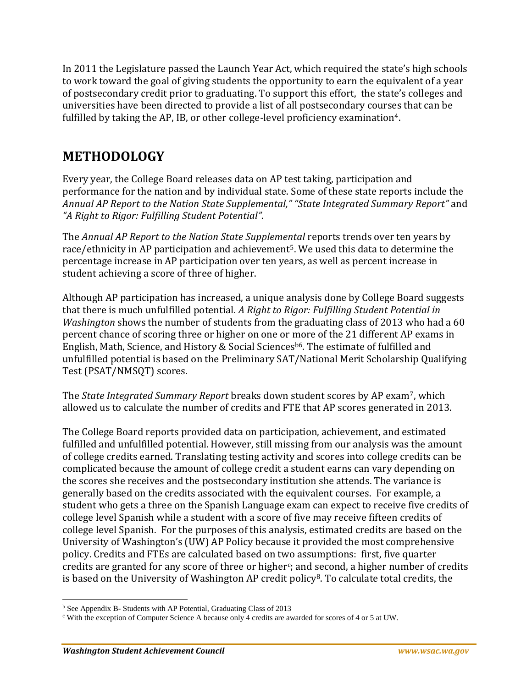In 2011 the Legislature passed the Launch Year Act, which required the state's high schools to work toward the goal of giving students the opportunity to earn the equivalent of a year of postsecondary credit prior to graduating. To support this effort, the state's colleges and universities have been directed to provide a list of all postsecondary courses that can be fulfilled by taking the AP, IB, or other college-level proficiency examination<sup>4</sup>.

## **METHODOLOGY**

Every year, the College Board releases data on AP test taking, participation and performance for the nation and by individual state. Some of these state reports include the *Annual AP Report to the Nation State Supplemental," "State Integrated Summary Report"* and *"A Right to Rigor: Fulfilling Student Potential".*

The *Annual AP Report to the Nation State Supplemental* reports trends over ten years by race/ethnicity in AP participation and achievement<sup>5</sup>. We used this data to determine the percentage increase in AP participation over ten years, as well as percent increase in student achieving a score of three of higher.

Although AP participation has increased, a unique analysis done by College Board suggests that there is much unfulfilled potential. *A Right to Rigor: Fulfilling Student Potential in Washington* shows the number of students from the graduating class of 2013 who had a 60 percent chance of scoring three or higher on one or more of the 21 different AP exams in English, Math, Science, and History & Social Sciences<sup>b6</sup>. The estimate of fulfilled and unfulfilled potential is based on the Preliminary SAT/National Merit Scholarship Qualifying Test (PSAT/NMSQT) scores.

The *State Integrated Summary Report* breaks down student scores by AP exam7, which allowed us to calculate the number of credits and FTE that AP scores generated in 2013.

The College Board reports provided data on participation, achievement, and estimated fulfilled and unfulfilled potential. However, still missing from our analysis was the amount of college credits earned. Translating testing activity and scores into college credits can be complicated because the amount of college credit a student earns can vary depending on the scores she receives and the postsecondary institution she attends. The variance is generally based on the credits associated with the equivalent courses. For example, a student who gets a three on the Spanish Language exam can expect to receive five credits of college level Spanish while a student with a score of five may receive fifteen credits of college level Spanish. For the purposes of this analysis, estimated credits are based on the University of Washington's (UW) AP Policy because it provided the most comprehensive policy. Credits and FTEs are calculated based on two assumptions: first, five quarter credits are granted for any score of three or higher $c$ ; and second, a higher number of credits is based on the University of Washington AP credit policy<sup>8</sup>. To calculate total credits, the

l <sup>b</sup> See Appendix B- Students with AP Potential, Graduating Class of 2013

<sup>c</sup> With the exception of Computer Science A because only 4 credits are awarded for scores of 4 or 5 at UW.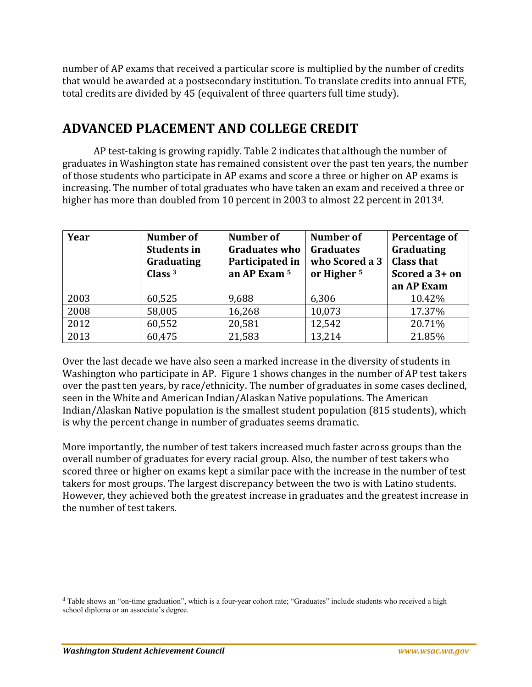number of AP exams that received a particular score is multiplied by the number of credits that would be awarded at a postsecondary institution. To translate credits into annual FTE, total credits are divided by 45 (equivalent of three quarters full time study).

#### **ADVANCED PLACEMENT AND COLLEGE CREDIT**

AP test-taking is growing rapidly. Table 2 indicates that although the number of graduates in Washington state has remained consistent over the past ten years, the number of those students who participate in AP exams and score a three or higher on AP exams is increasing. The number of total graduates who have taken an exam and received a three or higher has more than doubled from 10 percent in 2003 to almost 22 percent in 2013d.

| Year | Number of<br><b>Students in</b><br>Graduating<br>Class $3$ | Number of<br><b>Graduates who</b><br>Participated in<br>an AP Exam 5 | <b>Number of</b><br><b>Graduates</b><br>who Scored a 3<br>or Higher <sup>5</sup> | Percentage of<br>Graduating<br><b>Class that</b><br>Scored a 3+ on<br>an AP Exam |
|------|------------------------------------------------------------|----------------------------------------------------------------------|----------------------------------------------------------------------------------|----------------------------------------------------------------------------------|
| 2003 | 60,525                                                     | 9,688                                                                | 6,306                                                                            | 10.42%                                                                           |
| 2008 | 58,005                                                     | 16,268                                                               | 10,073                                                                           | 17.37%                                                                           |
| 2012 | 60,552                                                     | 20,581                                                               | 12,542                                                                           | 20.71%                                                                           |
| 2013 | 60,475                                                     | 21,583                                                               | 13,214                                                                           | 21.85%                                                                           |

Over the last decade we have also seen a marked increase in the diversity of students in Washington who participate in AP. Figure 1 shows changes in the number of AP test takers over the past ten years, by race/ethnicity. The number of graduates in some cases declined, seen in the White and American Indian/Alaskan Native populations. The American Indian/Alaskan Native population is the smallest student population (815 students), which is why the percent change in number of graduates seems dramatic.

More importantly, the number of test takers increased much faster across groups than the overall number of graduates for every racial group. Also, the number of test takers who scored three or higher on exams kept a similar pace with the increase in the number of test takers for most groups. The largest discrepancy between the two is with Latino students. However, they achieved both the greatest increase in graduates and the greatest increase in the number of test takers.

 $\overline{\phantom{a}}$ 

<sup>d</sup> Table shows an "on-time graduation", which is a four-year cohort rate; "Graduates" include students who received a high school diploma or an associate's degree.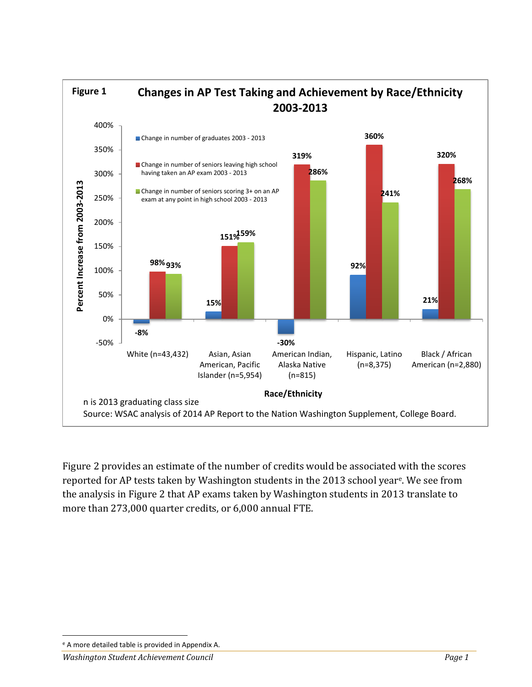

Figure 2 provides an estimate of the number of credits would be associated with the scores reported for AP tests taken by Washington students in the 2013 school year<sup>e</sup> . We see from the analysis in Figure 2 that AP exams taken by Washington students in 2013 translate to more than 273,000 quarter credits, or 6,000 annual FTE.

 $\overline{\phantom{a}}$ <sup>e</sup> A more detailed table is provided in Appendix A.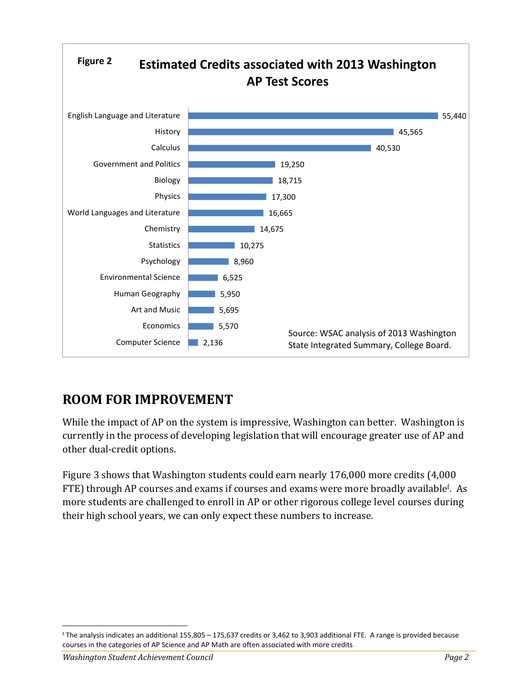

# **ROOM FOR IMPROVEMENT**

While the impact of AP on the system is impressive, Washington can better. Washington is currently in the process of developing legislation that will encourage greater use of AP and other dual-credit options.

Figure 3 shows that Washington students could earn nearly 176,000 more credits (4,000 FTE) through AP courses and exams if courses and exams were more broadly available<sup>f</sup>. As more students are challenged to enroll in AP or other rigorous college level courses during their high school years, we can only expect these numbers to increase.

 $\overline{\phantom{a}}$ 

<sup>f</sup> The analysis indicates an additional 155,805 – 175,637 credits or 3,462 to 3,903 additional FTE. A range is provided because courses in the categories of AP Science and AP Math are often associated with more credits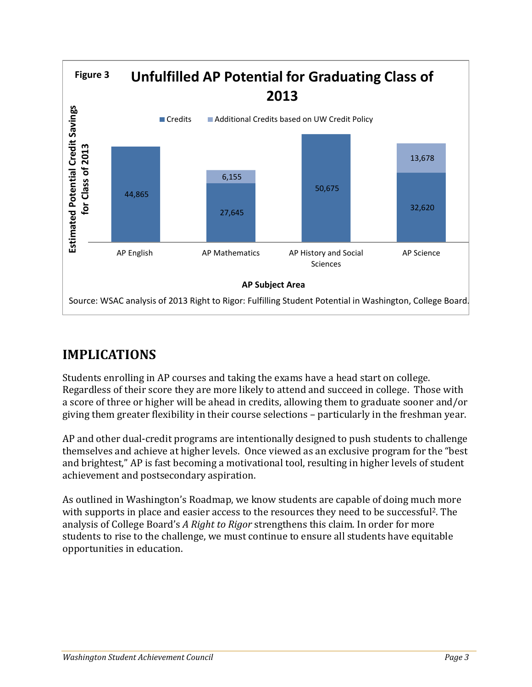

# **IMPLICATIONS**

Students enrolling in AP courses and taking the exams have a head start on college. Regardless of their score they are more likely to attend and succeed in college. Those with a score of three or higher will be ahead in credits, allowing them to graduate sooner and/or giving them greater flexibility in their course selections – particularly in the freshman year.

AP and other dual-credit programs are intentionally designed to push students to challenge themselves and achieve at higher levels. Once viewed as an exclusive program for the "best and brightest," AP is fast becoming a motivational tool, resulting in higher levels of student achievement and postsecondary aspiration.

As outlined in Washington's Roadmap, we know students are capable of doing much more with supports in place and easier access to the resources they need to be successful2. The analysis of College Board's *A Right to Rigor* strengthens this claim. In order for more students to rise to the challenge, we must continue to ensure all students have equitable opportunities in education.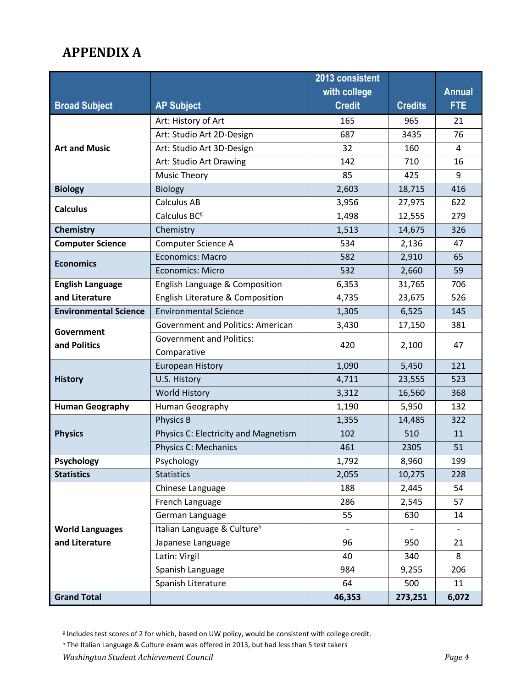# **APPENDIX A**

|                              |                                          | 2013 consistent          |                |               |
|------------------------------|------------------------------------------|--------------------------|----------------|---------------|
|                              |                                          | with college             |                | <b>Annual</b> |
| <b>Broad Subject</b>         | <b>AP Subject</b>                        | <b>Credit</b>            | <b>Credits</b> | <b>FTE</b>    |
|                              | Art: History of Art                      | 165                      | 965            | 21            |
|                              | Art: Studio Art 2D-Design                | 687                      | 3435           | 76            |
| <b>Art and Music</b>         | Art: Studio Art 3D-Design                | 32                       | 160            | 4             |
|                              | Art: Studio Art Drawing                  | 142                      | 710            | 16            |
|                              | <b>Music Theory</b>                      | 85                       | 425            | 9             |
| <b>Biology</b>               | <b>Biology</b>                           | 2,603                    | 18,715         | 416           |
| <b>Calculus</b>              | <b>Calculus AB</b>                       | 3,956                    | 27,975         | 622           |
|                              | Calculus BC <sup>g</sup>                 | 1,498                    | 12,555         | 279           |
| Chemistry                    | Chemistry                                | 1,513                    | 14,675         | 326           |
| <b>Computer Science</b>      | Computer Science A                       | 534                      | 2,136          | 47            |
| <b>Economics</b>             | <b>Economics: Macro</b>                  | 582                      | 2,910          | 65            |
|                              | <b>Economics: Micro</b>                  | 532                      | 2,660          | 59            |
| <b>English Language</b>      | English Language & Composition           | 6,353                    | 31,765         | 706           |
| and Literature               | English Literature & Composition         |                          | 23,675         | 526           |
| <b>Environmental Science</b> | <b>Environmental Science</b>             | 1,305                    | 6,525          | 145           |
|                              | <b>Government and Politics: American</b> | 3,430                    | 17,150         | 381           |
| Government<br>and Politics   | <b>Government and Politics:</b>          | 420                      | 2,100          | 47            |
|                              | Comparative                              |                          |                |               |
|                              | <b>European History</b>                  | 1,090                    | 5,450          | 121           |
| <b>History</b>               | U.S. History                             | 4,711                    | 23,555         | 523           |
|                              | <b>World History</b>                     | 3,312                    | 16,560         | 368           |
| <b>Human Geography</b>       | Human Geography                          | 1,190                    | 5,950          | 132           |
|                              | Physics B                                | 1,355                    | 14,485         | 322           |
| <b>Physics</b>               | Physics C: Electricity and Magnetism     | 102                      | 510            | 11            |
|                              | <b>Physics C: Mechanics</b>              | 461                      | 2305           | 51            |
| Psychology                   | Psychology                               | 1,792                    | 8,960          | 199           |
| <b>Statistics</b>            | <b>Statistics</b>                        | 2,055                    | 10,275         | 228           |
|                              | Chinese Language                         | 188                      | 2,445          | 54            |
|                              | French Language                          | 286                      | 2,545          | 57            |
|                              | German Language                          | 55<br>630                |                | 14            |
| <b>World Languages</b>       | Italian Language & Culture <sup>h</sup>  | $\overline{\phantom{a}}$ |                |               |
| and Literature               | Japanese Language                        | 96                       | 950            | 21            |
|                              | Latin: Virgil                            | 40<br>340                |                | 8             |
|                              | Spanish Language                         | 984<br>9,255             |                | 206           |
|                              | Spanish Literature                       | 64                       | 500            | 11            |
| <b>Grand Total</b>           |                                          | 46,353                   | 273,251        | 6,072         |

g Includes test scores of 2 for which, based on UW policy, would be consistent with college credit.

 $\overline{a}$ 

<sup>h</sup> The Italian Language & Culture exam was offered in 2013, but had less than 5 test takers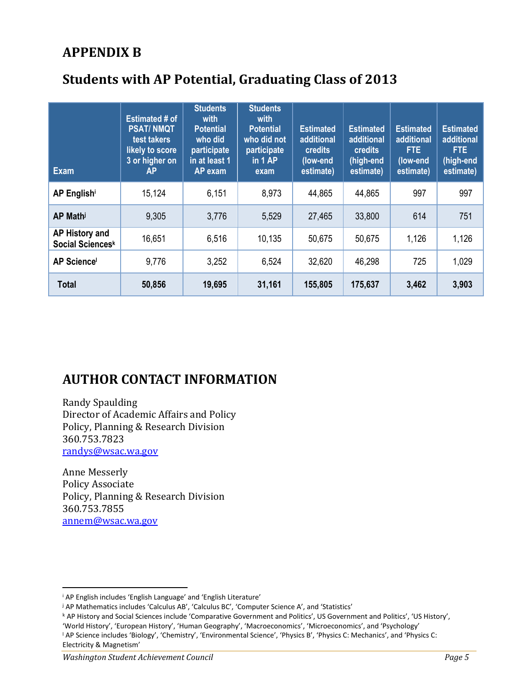## **APPENDIX B**

# **Students with AP Potential, Graduating Class of 2013**

| Exam                               | <b>Estimated # of</b><br><b>PSAT/NMQT</b><br>test takers<br>likely to score<br>3 or higher on<br>ΑP | <b>Students</b><br>with<br><b>Potential</b><br>who did<br>participate<br>in at least 1<br><b>AP</b> exam | <b>Students</b><br>with<br><b>Potential</b><br>who did not<br>participate<br>in $1AP$<br>exam | <b>Estimated</b><br>additional<br><b>credits</b><br>(low-end<br>estimate) | <b>Estimated</b><br>additional<br><b>credits</b><br>(high-end<br>estimate) | <b>Estimated</b><br>additional<br>FTE.<br>(low-end<br>estimate) | <b>Estimated</b><br>additional<br>FTE.<br>(high-end<br>estimate) |
|------------------------------------|-----------------------------------------------------------------------------------------------------|----------------------------------------------------------------------------------------------------------|-----------------------------------------------------------------------------------------------|---------------------------------------------------------------------------|----------------------------------------------------------------------------|-----------------------------------------------------------------|------------------------------------------------------------------|
| AP Englishi                        | 15,124                                                                                              | 6,151                                                                                                    | 8,973                                                                                         | 44,865                                                                    | 44,865                                                                     | 997                                                             | 997                                                              |
| AP Math                            | 9,305                                                                                               | 3,776                                                                                                    | 5,529                                                                                         | 27,465                                                                    | 33,800                                                                     | 614                                                             | 751                                                              |
| AP History and<br>Social Sciencesk | 16,651                                                                                              | 6,516                                                                                                    | 10,135                                                                                        | 50,675                                                                    | 50,675                                                                     | 1,126                                                           | 1,126                                                            |
| <b>AP Science</b>                  | 9,776                                                                                               | 3,252                                                                                                    | 6,524                                                                                         | 32,620                                                                    | 46,298                                                                     | 725                                                             | 1,029                                                            |
| <b>Total</b>                       | 50,856                                                                                              | 19,695                                                                                                   | 31,161                                                                                        | 155,805                                                                   | 175,637                                                                    | 3,462                                                           | 3,903                                                            |

## **AUTHOR CONTACT INFORMATION**

Randy Spaulding Director of Academic Affairs and Policy Policy, Planning & Research Division 360.753.7823 [randys@wsac.wa.gov](mailto:randys@wsac.wa.gov)

Anne Messerly Policy Associate Policy, Planning & Research Division 360.753.7855 [annem@wsac.wa.gov](mailto:annem@wsac.wa.gov)

l

<sup>i</sup> AP English includes 'English Language' and 'English Literature'

<sup>j</sup> AP Mathematics includes 'Calculus AB', 'Calculus BC', 'Computer Science A', and 'Statistics'

<sup>k</sup> AP History and Social Sciences include 'Comparative Government and Politics', US Government and Politics', 'US History', 'World History', 'European History', 'Human Geography', 'Macroeconomics', 'Microeconomics', and 'Psychology'

<sup>l</sup> AP Science includes 'Biology', 'Chemistry', 'Environmental Science', 'Physics B', 'Physics C: Mechanics', and 'Physics C: Electricity & Magnetism'